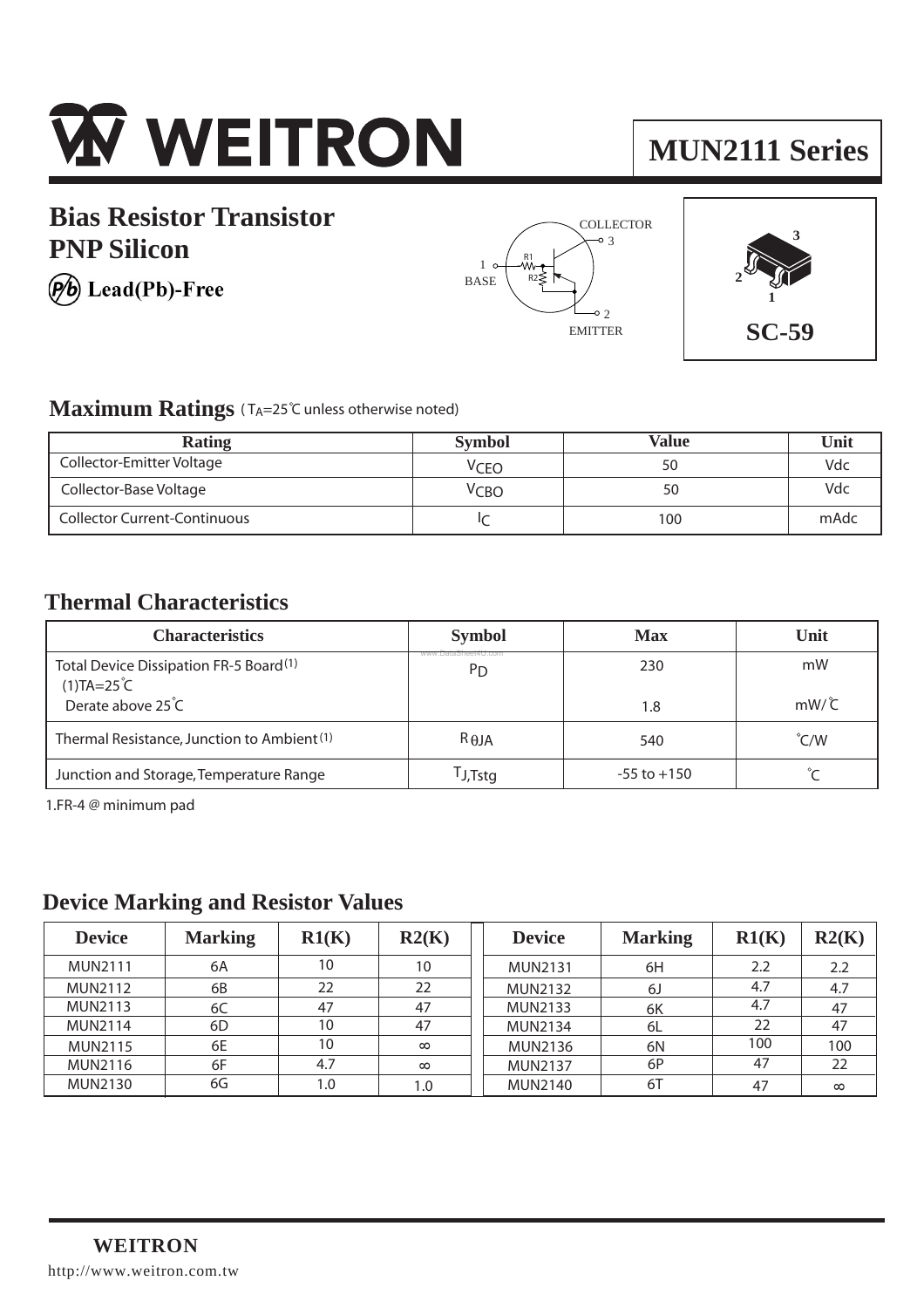

## **Bias Resistor Transistor PNP Silicon**

(b) Lead(Pb)-Free







### **Maximum Ratings** (TA=25°C unless otherwise noted)

| Rating                              | <b>Symbol</b>    | <b>Value</b> | Unit |
|-------------------------------------|------------------|--------------|------|
| Collector-Emitter Voltage           | <sup>V</sup> CEO | 50           | Vdc  |
| Collector-Base Voltage              | Ѵсво             | 50           | Vdc  |
| <b>Collector Current-Continuous</b> |                  | 100          | mAdc |

### **Thermal Characteristics**

| <b>Characteristics</b>                                                                                   | <b>Symbol</b>                         | <b>Max</b>      | Unit                          |
|----------------------------------------------------------------------------------------------------------|---------------------------------------|-----------------|-------------------------------|
| Total Device Dissipation FR-5 Board <sup>(1)</sup><br>$(1)TA=25^{\circ}C$<br>Derate above $25^{\circ}$ C | www.DataSheet4U.com<br>P <sub>D</sub> | 230<br>1.8      | mW<br>$mW/\overset{\circ}{C}$ |
| Thermal Resistance, Junction to Ambient <sup>(1)</sup>                                                   | $R_{\theta$ JA                        | 540             | $\degree$ C/W                 |
| Junction and Storage, Temperature Range                                                                  | TJ,Tstg                               | $-55$ to $+150$ |                               |

1.FR-4 @ minimum pad

### **Device Marking and Resistor Values**

| <b>Device</b>  | <b>Marking</b> | R1(K) | R2(K)    | <b>Device</b>  | <b>Marking</b> | R1(K) | R2(K)    |
|----------------|----------------|-------|----------|----------------|----------------|-------|----------|
| <b>MUN2111</b> | 6A             | 10    | 10       | <b>MUN2131</b> | 6H             | 2.2   | 2.2      |
| <b>MUN2112</b> | 6B             | 22    | 22       | <b>MUN2132</b> | 6J             | 4.7   | 4.7      |
| <b>MUN2113</b> | 6C             | 47    | 47       | <b>MUN2133</b> | 6K             | 4.7   | 47       |
| <b>MUN2114</b> | 6D             | 10    | 47       | <b>MUN2134</b> | -6L            | 22    | 47       |
| <b>MUN2115</b> | 6E             | 10    | $\infty$ | <b>MUN2136</b> | 6N             | 100   | 100      |
| <b>MUN2116</b> | 6F             | 4.7   | $\infty$ | <b>MUN2137</b> | 6P             | 47    | 22       |
| <b>MUN2130</b> | 6G             | 1.0   | 1.0      | <b>MUN2140</b> | 6T             | 47    | $\infty$ |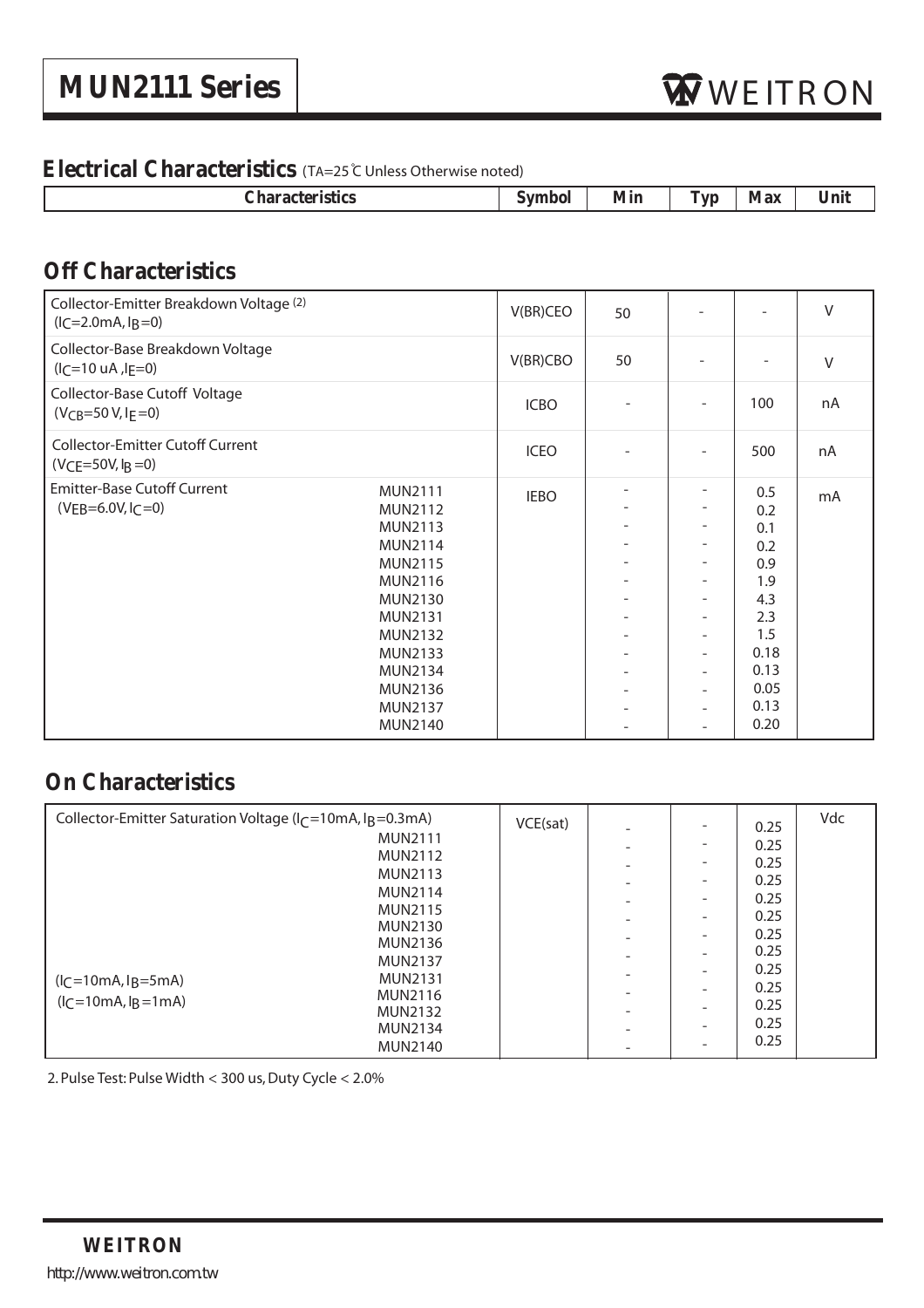### **Electrical Characteristics** (TA=25 <sup>C</sup> Unless Otherwise noted)

| --- | ,,,,,<br>------ | <b>COL</b><br><b>Service</b><br>- 11<br>- | N/I Qv | $-$ |
|-----|-----------------|-------------------------------------------|--------|-----|
|     |                 |                                           |        |     |

## **Off Characteristics**

| Collector-Emitter Breakdown Voltage (2)<br>$(lC=2.0mA, IB=0)$                                                                                                                                                                                                                                                         | V(BR)CEO    | 50                       |                                                                                                                                                                        |                                                                                                     | $\vee$ |
|-----------------------------------------------------------------------------------------------------------------------------------------------------------------------------------------------------------------------------------------------------------------------------------------------------------------------|-------------|--------------------------|------------------------------------------------------------------------------------------------------------------------------------------------------------------------|-----------------------------------------------------------------------------------------------------|--------|
| Collector-Base Breakdown Voltage<br>$(I_C=10 \text{ uA}$ , $I_F=0)$                                                                                                                                                                                                                                                   | V(BR)CBO    | 50                       |                                                                                                                                                                        |                                                                                                     | V      |
| Collector-Base Cutoff Voltage<br>$(V_{CB} = 50 V, I_E = 0)$                                                                                                                                                                                                                                                           | <b>ICBO</b> |                          | $\overline{\phantom{a}}$                                                                                                                                               | 100                                                                                                 | nA     |
| <b>Collector-Emitter Cutoff Current</b><br>$(VCE=50V, IB=0)$                                                                                                                                                                                                                                                          | <b>ICEO</b> |                          | L.                                                                                                                                                                     | 500                                                                                                 | nA     |
| <b>Emitter-Base Cutoff Current</b><br><b>MUN2111</b><br>$(VEB=6.0V, I_C=0)$<br><b>MUN2112</b><br><b>MUN2113</b><br><b>MUN2114</b><br><b>MUN2115</b><br><b>MUN2116</b><br><b>MUN2130</b><br><b>MUN2131</b><br><b>MUN2132</b><br><b>MUN2133</b><br><b>MUN2134</b><br><b>MUN2136</b><br><b>MUN2137</b><br><b>MUN2140</b> | <b>IEBO</b> | $\overline{\phantom{a}}$ | -<br>$\overline{\phantom{0}}$<br>-<br>$\overline{\phantom{0}}$<br>۰<br>۰<br>$\overline{\phantom{0}}$<br>-<br>$\overline{a}$<br>-<br>-<br>$\overline{\phantom{a}}$<br>- | 0.5<br>0.2<br>0.1<br>0.2<br>0.9<br>1.9<br>4.3<br>2.3<br>1.5<br>0.18<br>0.13<br>0.05<br>0.13<br>0.20 | mA     |

## **On Characteristics**

| Collector-Emitter Saturation Voltage ( $l_C$ =10mA, $l_B$ =0.3mA) | VCE(sat) |                          |                          |      | Vdc |
|-------------------------------------------------------------------|----------|--------------------------|--------------------------|------|-----|
|                                                                   |          | $\overline{\phantom{0}}$ |                          | 0.25 |     |
| <b>MUN2111</b>                                                    |          | ۰                        | -                        | 0.25 |     |
| <b>MUN2112</b>                                                    |          |                          | $\overline{\phantom{0}}$ | 0.25 |     |
| <b>MUN2113</b>                                                    |          | $\overline{\phantom{a}}$ | $\overline{\phantom{0}}$ | 0.25 |     |
| <b>MUN2114</b>                                                    |          | $\overline{\phantom{a}}$ | $\overline{\phantom{0}}$ | 0.25 |     |
| <b>MUN2115</b>                                                    |          | $\overline{\phantom{0}}$ |                          | 0.25 |     |
| <b>MUN2130</b>                                                    |          | $\overline{\phantom{a}}$ | -                        | 0.25 |     |
| <b>MUN2136</b>                                                    |          |                          | $\overline{\phantom{0}}$ | 0.25 |     |
| <b>MUN2137</b>                                                    |          | $\overline{\phantom{0}}$ |                          | 0.25 |     |
| <b>MUN2131</b><br>$(lC=10mA, lB=5mA)$                             |          |                          |                          |      |     |
| <b>MUN2116</b>                                                    |          | $\overline{\phantom{0}}$ | $\overline{\phantom{0}}$ | 0.25 |     |
| $(l_C=10mA, lg=1mA)$<br><b>MUN2132</b>                            |          | ۰                        | -                        | 0.25 |     |
| <b>MUN2134</b>                                                    |          |                          | $\overline{\phantom{0}}$ | 0.25 |     |
| <b>MUN2140</b>                                                    |          |                          |                          | 0.25 |     |

2. Pulse Test: Pulse Width < 300 us, Duty Cycle < 2.0%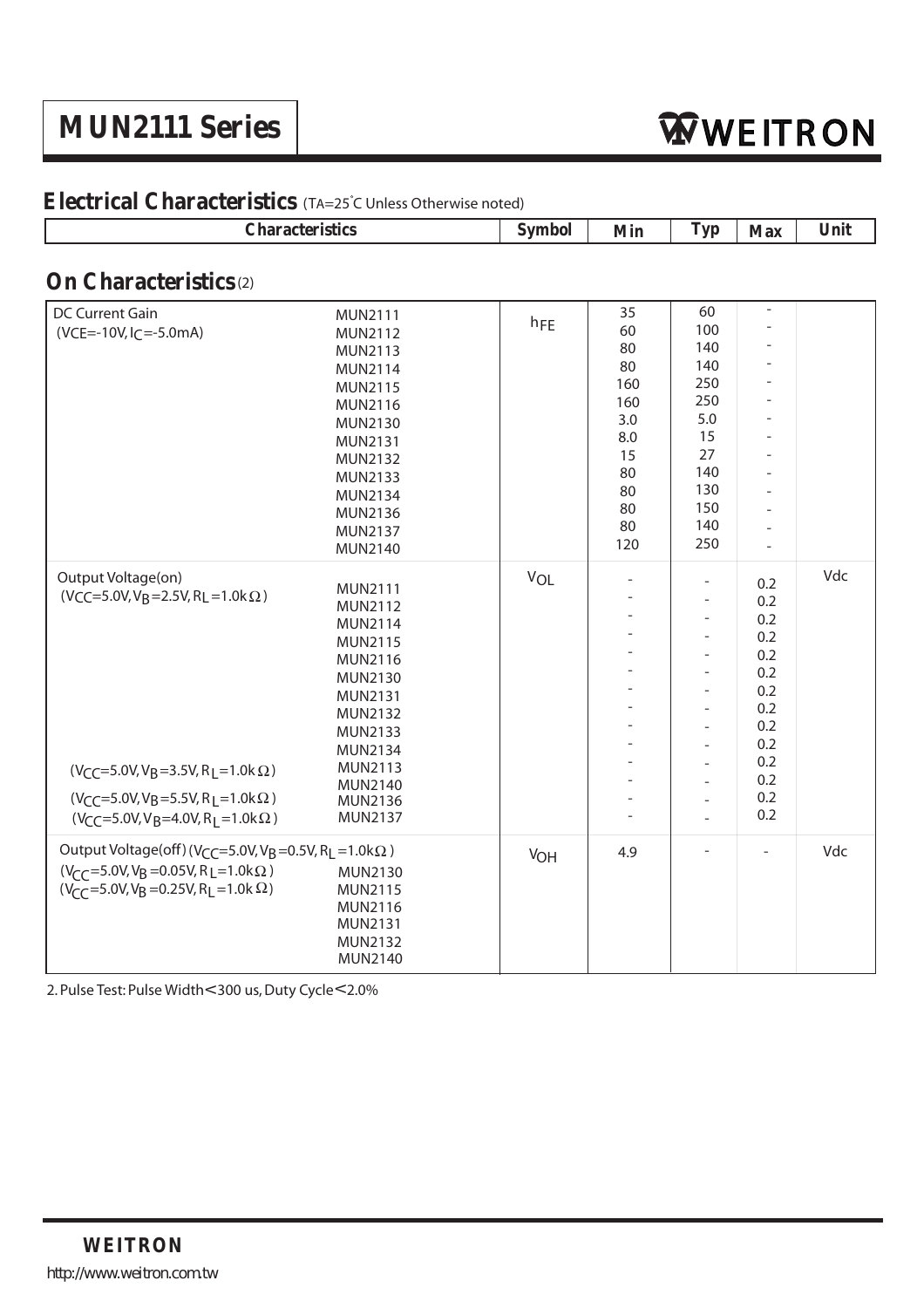## **MUN2111 Series**

| <b>Characteristics</b>                                                                                                                                                                                                                                                                                              |                                                                                                                                                                             | <b>Symbol</b>   | Min                                                                | <b>Typ</b>                                                                                                                                                                                           | <b>Max</b>                                                                                                    | Unit |
|---------------------------------------------------------------------------------------------------------------------------------------------------------------------------------------------------------------------------------------------------------------------------------------------------------------------|-----------------------------------------------------------------------------------------------------------------------------------------------------------------------------|-----------------|--------------------------------------------------------------------|------------------------------------------------------------------------------------------------------------------------------------------------------------------------------------------------------|---------------------------------------------------------------------------------------------------------------|------|
| <b>On Characteristics</b> (2)                                                                                                                                                                                                                                                                                       |                                                                                                                                                                             |                 |                                                                    |                                                                                                                                                                                                      |                                                                                                               |      |
| <b>DC Current Gain</b><br>$(VCE=-10V, IC=-5.0mA)$                                                                                                                                                                                                                                                                   | <b>MUN2111</b><br>MUN2112<br><b>MUN2113</b><br>MUN2114<br><b>MUN2115</b><br>MUN2116<br>MUN2130<br><b>MUN2131</b><br><b>MUN2132</b><br><b>MUN2133</b><br><b>MUN2134</b>      | h <sub>FE</sub> | 35<br>60<br>80<br>80<br>160<br>160<br>3.0<br>8.0<br>15<br>80<br>80 | 60<br>100<br>140<br>140<br>250<br>250<br>5.0<br>15<br>27<br>140<br>130                                                                                                                               | $\overline{\phantom{a}}$<br>÷,<br>$\overline{a}$<br>$\overline{\phantom{a}}$<br>÷<br>$\overline{\phantom{a}}$ |      |
|                                                                                                                                                                                                                                                                                                                     | MUN2136<br><b>MUN2137</b><br>MUN2140                                                                                                                                        |                 | 80<br>80<br>120                                                    | 150<br>140<br>250                                                                                                                                                                                    | ÷.                                                                                                            |      |
| Output Voltage(on)<br>$(VCC=5.0V, V_B=2.5V, R_L=1.0k\Omega)$<br>$(V_{CC} = 5.0V, V_B = 3.5V, R_L = 1.0k \Omega)$<br>$(V_{\text{CC}}=5.0 \text{V}, V_{\text{B}}=5.5 \text{V}, R_{\text{I}}=1.0 \text{k}\Omega)$<br>$(V_{\text{CC}} = 5.0 \text{V}, V_{\text{B}} = 4.0 \text{V}, R_{\text{I}} = 1.0 \text{k} \Omega)$ | MUN2111<br>MUN2112<br><b>MUN2114</b><br>MUN2115<br>MUN2116<br>MUN2130<br>MUN2131<br>MUN2132<br>MUN2133<br><b>MUN2134</b><br>MUN2113<br>MUN2140<br>MUN2136<br><b>MUN2137</b> | VOL             | $\overline{\phantom{a}}$                                           | ÷,<br>÷,<br>$\overline{a}$<br>L,<br>$\overline{a}$<br>$\overline{a}$<br>$\overline{a}$<br>$\overline{a}$<br>$\overline{a}$<br>$\overline{a}$<br>$\overline{\phantom{a}}$<br>$\overline{\phantom{m}}$ | 0.2<br>0.2<br>0.2<br>0.2<br>0.2<br>0.2<br>0.2<br>0.2<br>0.2<br>0.2<br>0.2<br>0.2<br>0.2<br>0.2                | Vdc  |
| Output Voltage(off)(V <sub>CC</sub> =5.0V, V <sub>B</sub> =0.5V, R <sub>L</sub> =1.0k $\Omega$ )<br>$(V_{\text{CC}} = 5.0 \text{V}, V_{\text{B}} = 0.05 \text{V}, R_{\text{L}} = 1.0 \text{k}\Omega)$<br>$(V_{\text{CC}} = 5.0 \text{V}, V_{\text{B}} = 0.25 \text{V}, R_{\text{L}} = 1.0 \text{k} \Omega)$         | <b>MUN2130</b><br>MUN2115<br>MUN2116<br><b>MUN2131</b><br>MUN2132<br>MUN2140                                                                                                | V <sub>OH</sub> | 4.9                                                                |                                                                                                                                                                                                      | ÷                                                                                                             | Vdc  |

### **Electrical Characteristics** (TA=25°C Unless Otherwise noted)

2. Pulse Test: Pulse Width<300 us, Duty Cycle<2.0%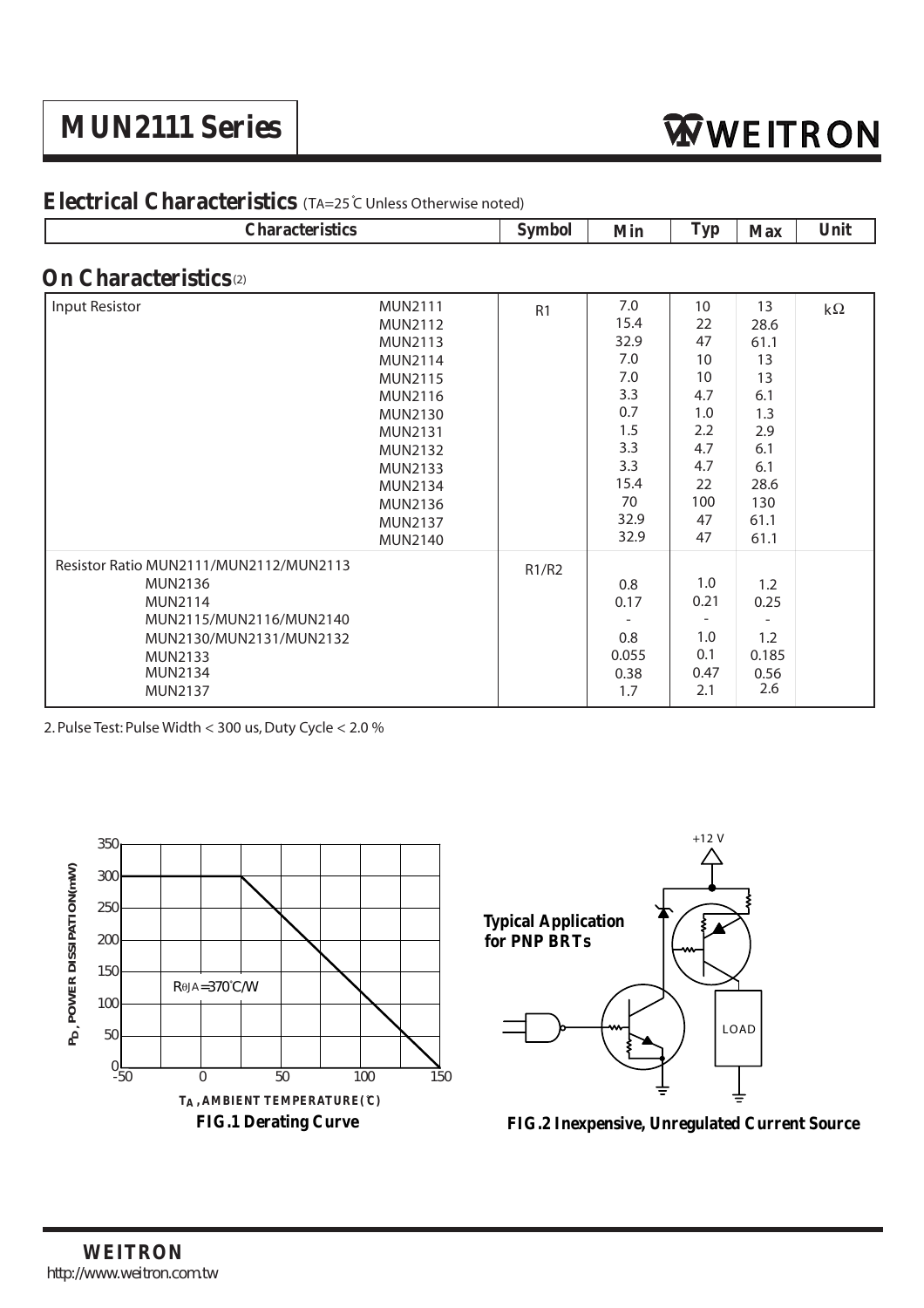## **MUN2111 Series**

| <b>Characteristics</b>                                                                                                                                                                 |                                                                                                                                                                                                                                                   | <b>Symbol</b>  | <b>Min</b>                                                                                         | <b>Typ</b>                                                                             | <b>Max</b>                                                                                       | Unit       |
|----------------------------------------------------------------------------------------------------------------------------------------------------------------------------------------|---------------------------------------------------------------------------------------------------------------------------------------------------------------------------------------------------------------------------------------------------|----------------|----------------------------------------------------------------------------------------------------|----------------------------------------------------------------------------------------|--------------------------------------------------------------------------------------------------|------------|
| <b>On Characteristics</b> <sup>(2)</sup>                                                                                                                                               |                                                                                                                                                                                                                                                   |                |                                                                                                    |                                                                                        |                                                                                                  |            |
| Input Resistor                                                                                                                                                                         | <b>MUN2111</b><br><b>MUN2112</b><br>MUN2113<br><b>MUN2114</b><br><b>MUN2115</b><br><b>MUN2116</b><br><b>MUN2130</b><br><b>MUN2131</b><br><b>MUN2132</b><br><b>MUN2133</b><br><b>MUN2134</b><br><b>MUN2136</b><br><b>MUN2137</b><br><b>MUN2140</b> | R <sub>1</sub> | 7.0<br>15.4<br>32.9<br>7.0<br>7.0<br>3.3<br>0.7<br>1.5<br>3.3<br>3.3<br>15.4<br>70<br>32.9<br>32.9 | 10<br>22<br>47<br>10<br>10<br>4.7<br>1.0<br>2.2<br>4.7<br>4.7<br>22<br>100<br>47<br>47 | 13<br>28.6<br>61.1<br>13<br>13<br>6.1<br>1.3<br>2.9<br>6.1<br>6.1<br>28.6<br>130<br>61.1<br>61.1 | k $\Omega$ |
| Resistor Ratio MUN2111/MUN2112/MUN2113<br><b>MUN2136</b><br><b>MUN2114</b><br>MUN2115/MUN2116/MUN2140<br>MUN2130/MUN2131/MUN2132<br><b>MUN2133</b><br><b>MUN2134</b><br><b>MUN2137</b> |                                                                                                                                                                                                                                                   | R1/R2          | 0.8<br>0.17<br>0.8<br>0.055<br>0.38<br>1.7                                                         | 1.0<br>0.21<br>$\overline{\phantom{a}}$<br>1.0<br>0.1<br>0.47<br>2.1                   | 1.2<br>0.25<br>1.2<br>0.185<br>0.56<br>2.6                                                       |            |

### **Electrical Characteristics** (TA=25 C Unless Otherwise noted)

2. Pulse Test: Pulse Width < 300 us, Duty Cycle < 2.0 %





**FIG.2 Inexpensive, Unregulated Current Source**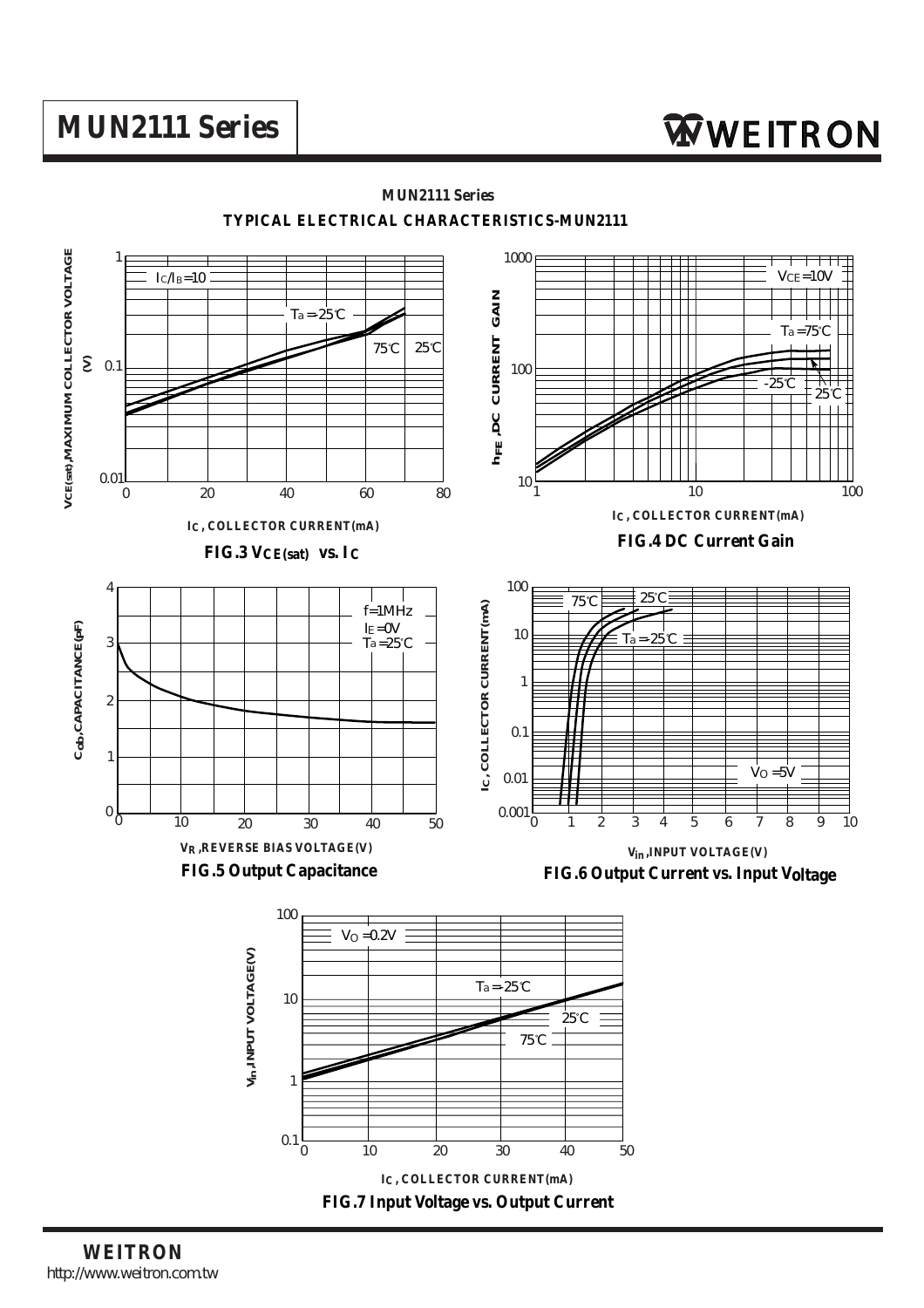

**TYPICAL ELECTRICAL CHARACTERISTICS-MUN2111**

**MUN2111 Series**

**FIG.7 Input Voltage vs. Output Current**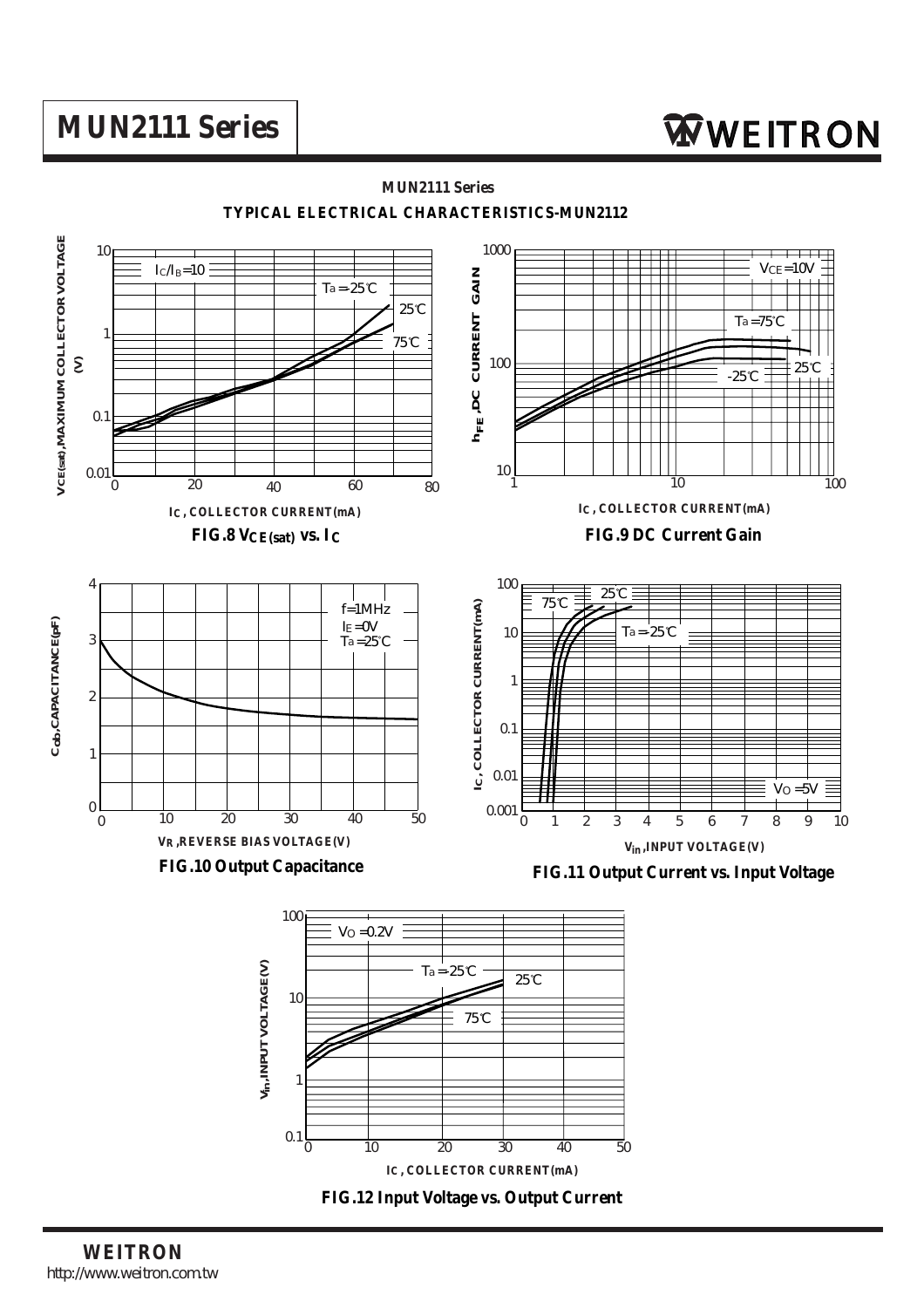

**WEITRON** http://www.weitron.com.tw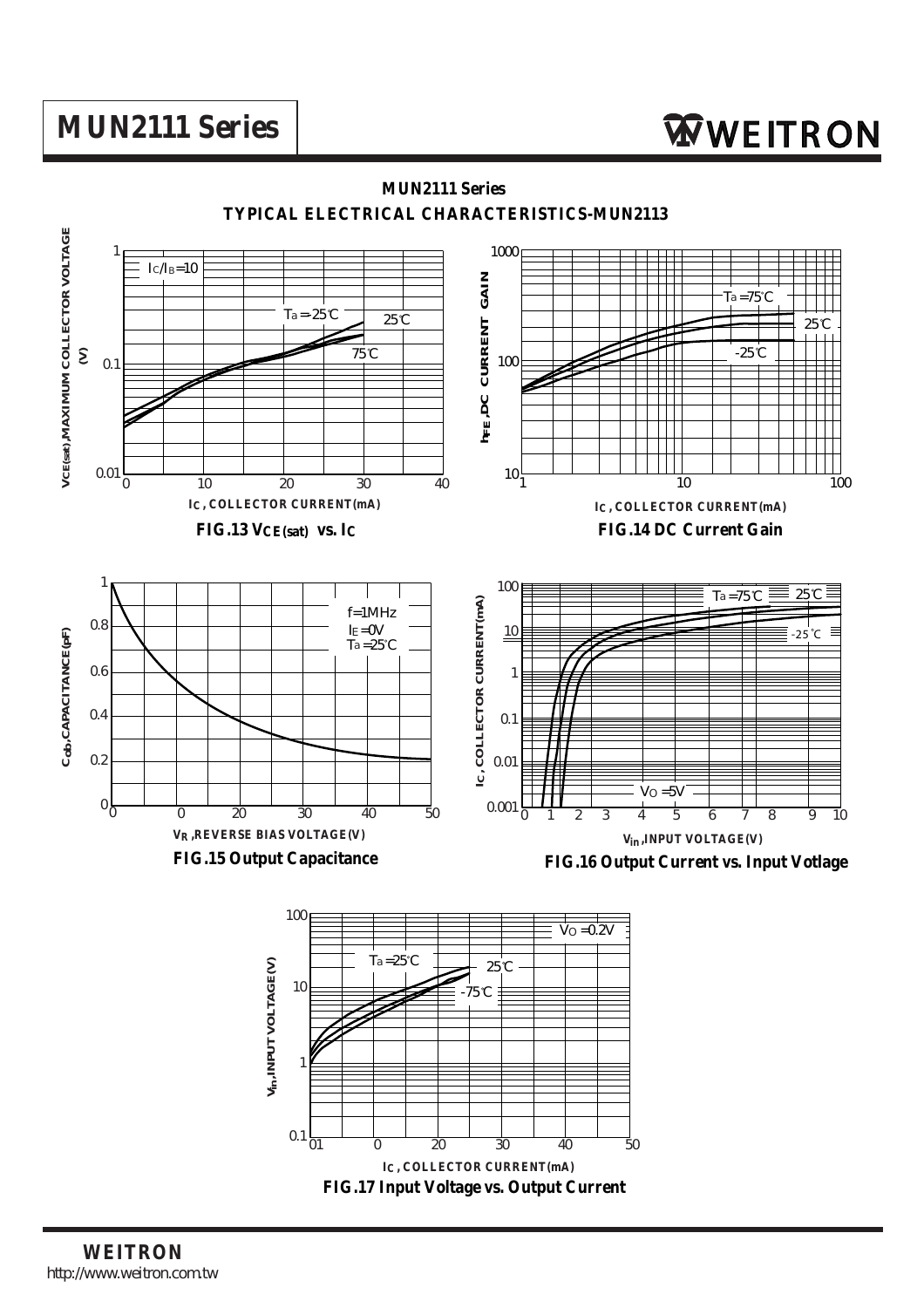

**WEITRON** http://www.weitron.com.tw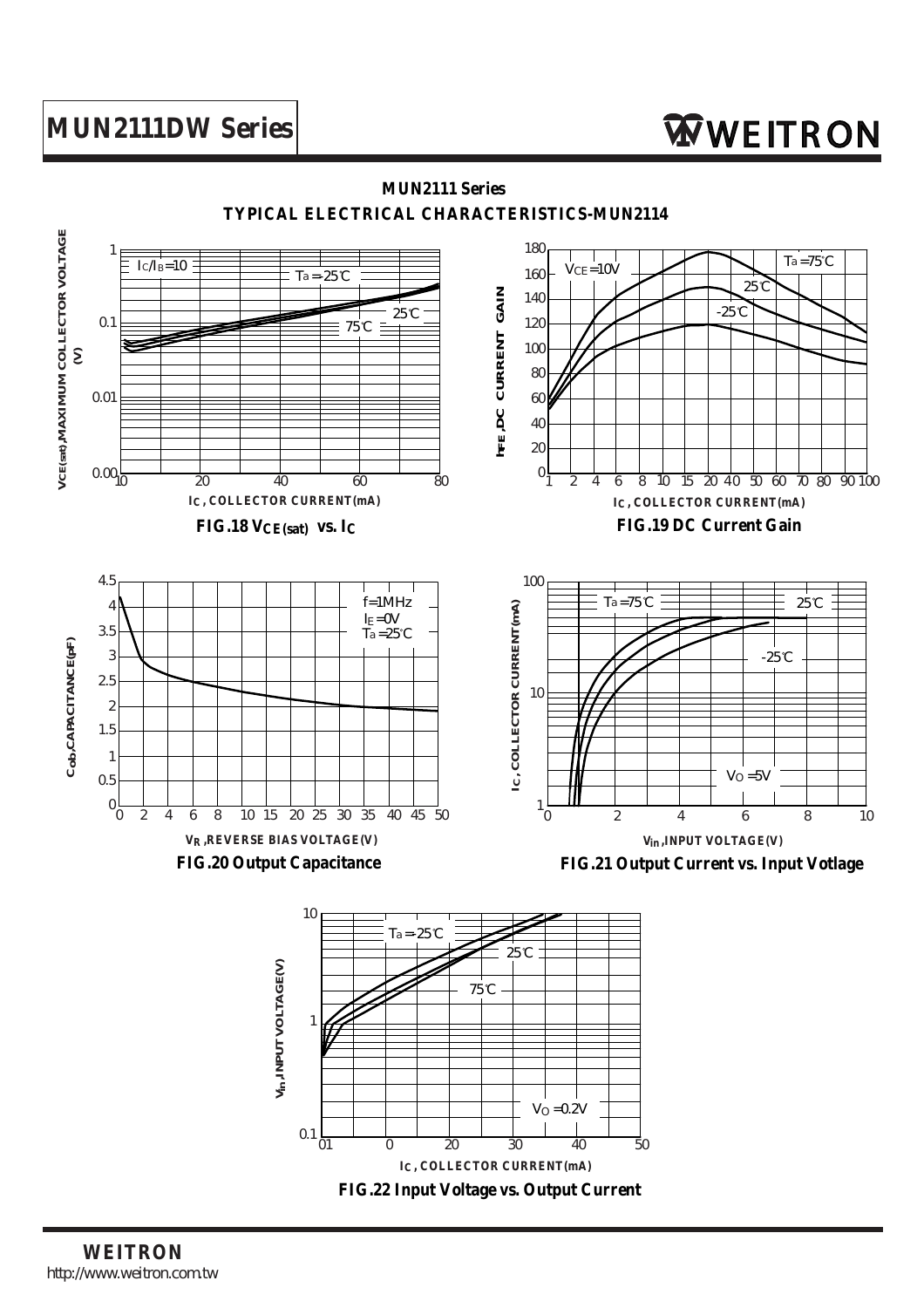# **MUN2111DW Series** WEITRON

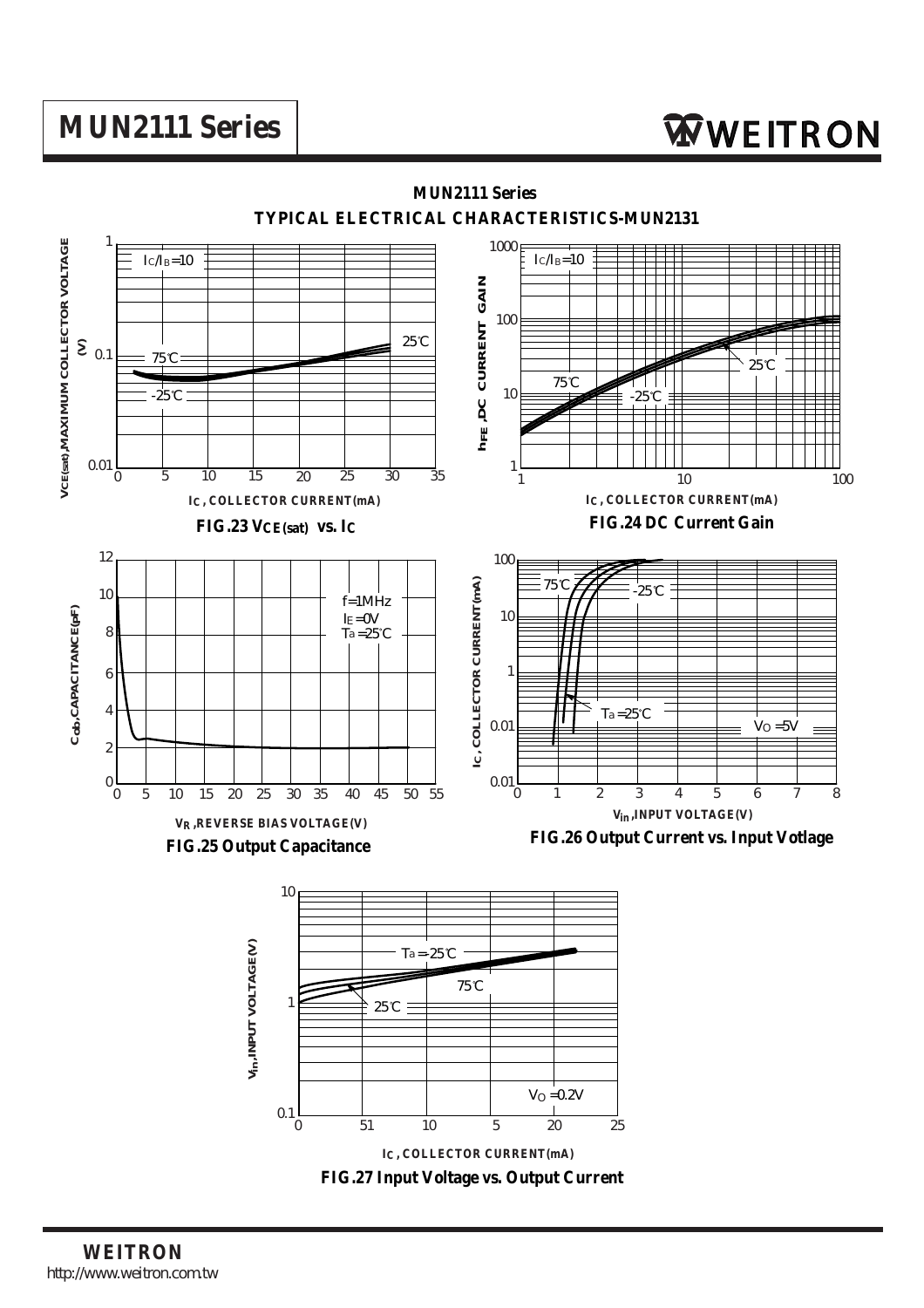

**FIG.27 Input Voltage vs. Output Current**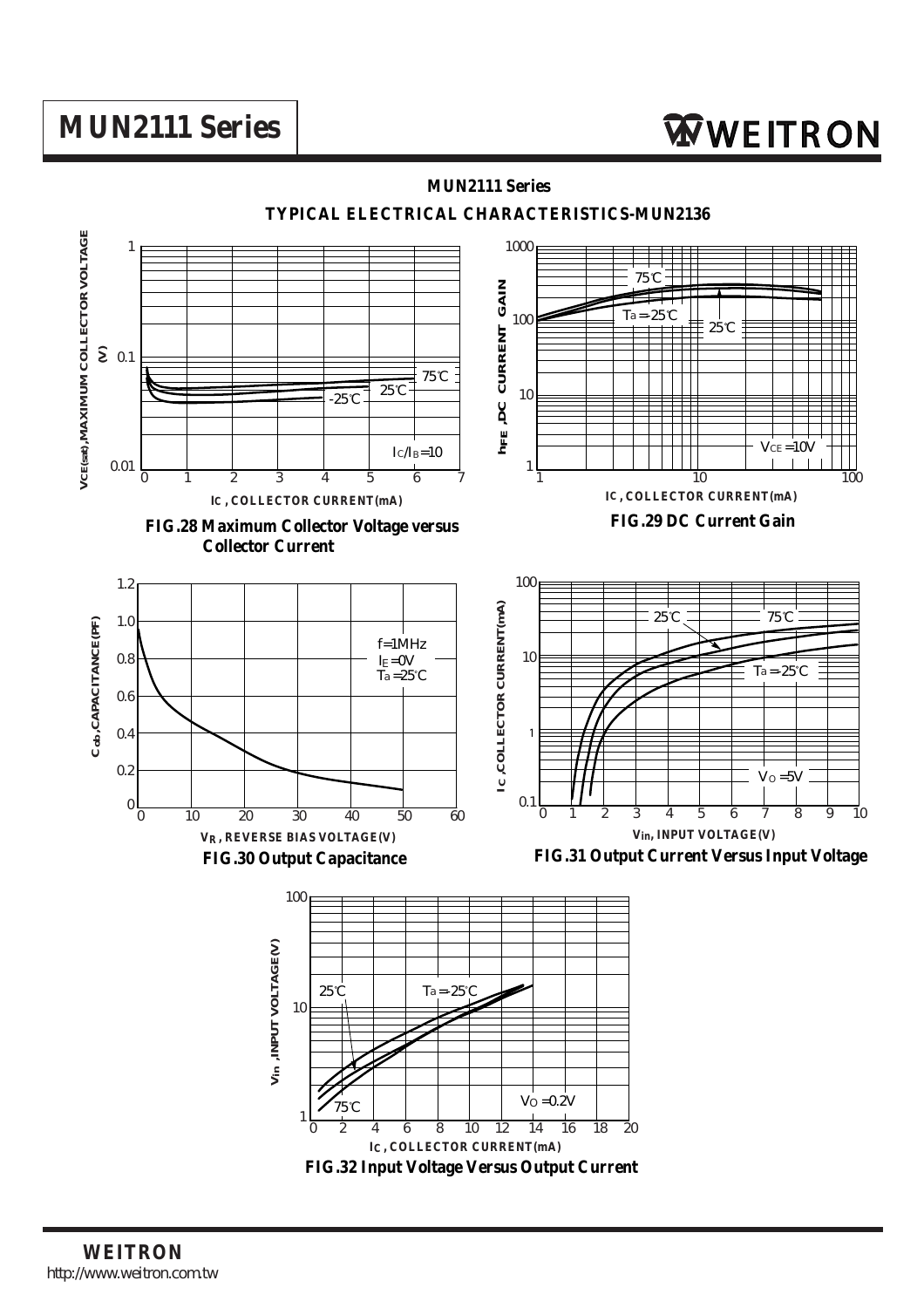# **MUN2111 Series** Nuncarrow **WWE ITRON**

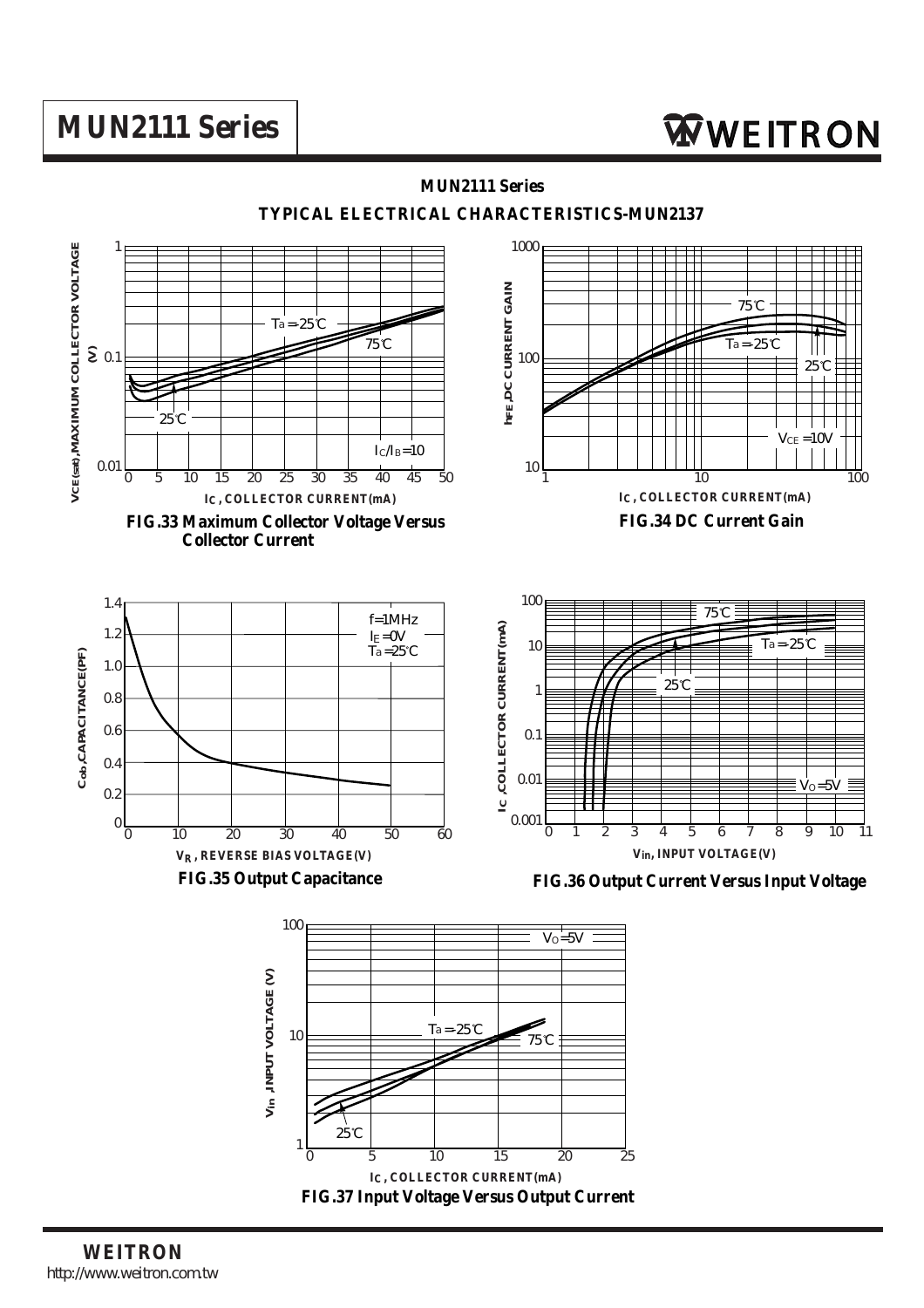